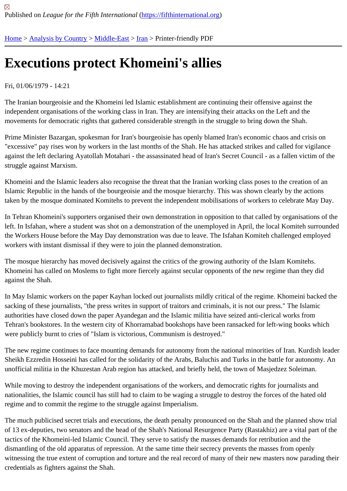## [Exe](https://fifthinternational.org/)[cutions pr](https://fifthinternational.org/category/1)[otect K](https://fifthinternational.org/category/1/178)[ho](https://fifthinternational.org/category/1/178/182)meini's allies

## Fri, 01/06/1979 - 14:21

The Iranian bourgeoisie and the Khomeini led Islamic establishment are continuing their offensive against the independent organisations of the working class in Iran. They are intensifying their attacks on the Left and the movements for democratic rights that gathered considerable strength in the struggle to bring down the Shah.

Prime Minister Bazargan, spokesman for Iran's bourgeoisie has openly blamed Iran's economic chaos and crisis c "excessive" pay rises won by workers in the last months of the Shah. He has attacked strikes and called for vigilar against the left declaring Ayatollah Motahari - the assassinated head of Iran's Secret Council - as a fallen victim of struggle against Marxism.

Khomeini and the Islamic leaders also recognise the threat that the Iranian working class poses to the creation of a Islamic Republic in the hands of the bourgeoisie and the mosque hierarchy. This was shown clearly by the actions taken by the mosque dominated Komitehs to prevent the independent mobilisations of workers to celebrate May D

In Tehran Khomeini's supporters organised their own demonstration in opposition to that called by organisations o left. In Isfahan, where a student was shot on a demonstration of the unemployed in April, the local Komiteh surrou the Workers House before the May Day demonstration was due to leave. The Isfahan Komiteh challenged employ workers with instant dismissal if they were to join the planned demonstration.

The mosque hierarchy has moved decisively against the critics of the growing authority of the Islam Komitehs. Khomeini has called on Moslems to fight more fiercely against secular opponents of the new regime than they did against the Shah.

In May Islamic workers on the paper Kayhan locked out journalists mildly critical of the regime. Khomeini backed t sacking of these journalists, "the press writes in support of traitors and criminals, it is not our press." The Islamic authorities have closed down the paper Ayandegan and the Islamic militia have seized anti-clerical works from Tehran's bookstores. In the western city of Khorramabad bookshops have been ransacked for left-wing books whi were publicly burnt to cries of "Islam is victorious, Communism is destroyed."

The new regime continues to face mounting demands for autonomy from the national minorities of Iran. Kurdish le Sheikh Ezzredin Hosseini has called for the solidarity of the Arabs, Baluchis and Turks in the battle for autonomy. unofficial militia in the Khuzestan Arab region has attacked, and briefly held, the town of Masjedzez Soleiman.

While moving to destroy the independent organisations of the workers, and democratic rights for journalists and nationalities, the Islamic council has still had to claim to be waging a struggle to destroy the forces of the hated old regime and to commit the regime to the struggle against Imperialism.

The much publicised secret trials and executions, the death penalty pronounced on the Shah and the planned sho of 13 ex-deputies, two senators and the head of the Shah's National Resurgence Party (Rastakhiz) are a vital part tactics of the Khomeini-led Islamic Council. They serve to satisfy the masses demands for retribution and the dismantling of the old apparatus of repression. At the same time their secrecy prevents the masses from openly witnessing the true extent of corruption and torture and the real record of many of their new masters now parading credentials as fighters against the Shah.